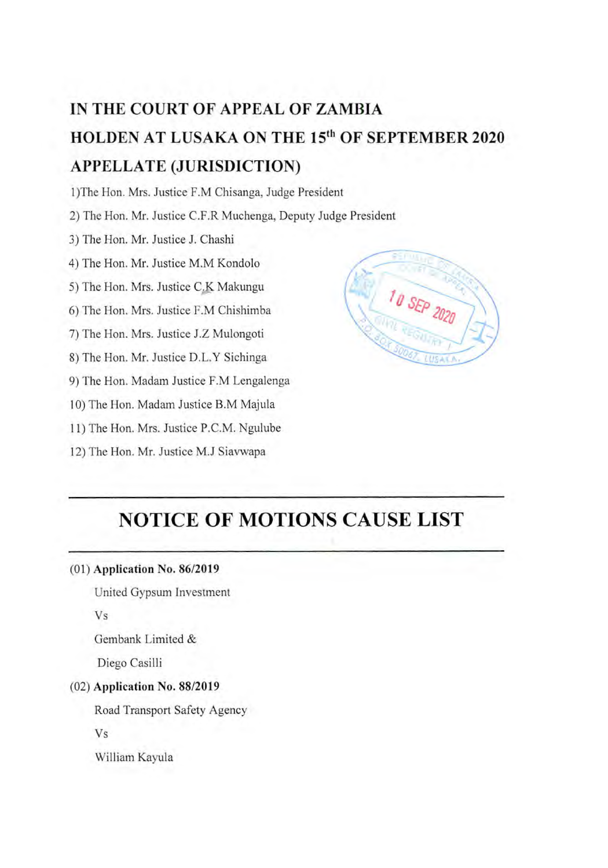# **IN THE COURT OF APPEAL OF ZAMBIA HOLDEN AT LUSAKA ON THE 15th OF SEPTEMBER 2020 APPELLATE (JURISDICTION)**

1)The Hon. Mrs. Justice F.M Chisanga, Judge President

2) The Hon. Mr. Justice C.F.R Muchenga, Deputy Judge President

3) The Hon. Mr. Justice J. Chashi

4) The Hon. Mr. Justice M.M Kondolo

5) The Hon. Mrs. Justice C.K Makungu

6) The Hon. Mrs. Justice F.M Chishimba

7) The Hon. Mrs. Justice J.Z Mulongoti

8) The Hon. Mr. Justice D.L.Y Sichinga

9) The Hon. Madam Justice F.M Lengalenga

10) The Hon. Madam Justice B.M Majula

11) The Hon. Mrs. Justice P.C.M. Ngulube

12) The Hon. Mr. Justice M.J Siavwapa



# **NOTICE OF MOTIONS CAUSE LIST**

#### (1) Application No. 86/2019

United Gypsum Investment

Vs

Gembank Limited &

Diego Casilli

#### (2) Application No. 88/2019

Road Transport Safety Agency

Vs

William Kayula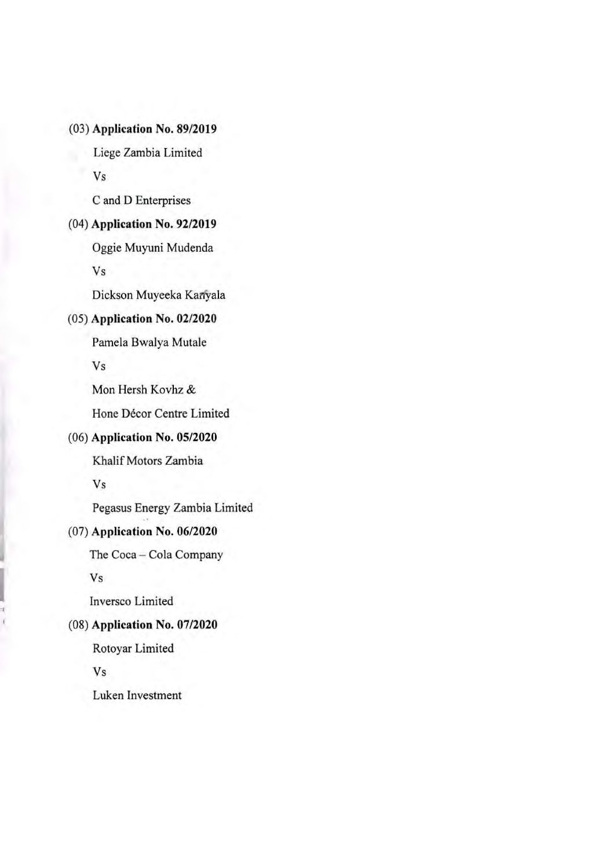**(3) Application** No. 89/2019

Liege Zambia Limited

Vs

C and D Enterprises

#### **(4) Application No. 92/2019**

Oggie Muyuni Mudenda Vs

Dickson Muyeeka Kanyala

### (5) Application No. 02/2020

Pamela Bwalya Mutale

Vs

Mon Hersh Kovhz &

Hone Décor Centre Limited

# **(6) Application** No. 05/2020

Khalif Motors Zambia

Vs

Pegasus Energy Zambia Limited

#### **(7) Application No.** 06/2020

The Coca - Cola Company

Vs

Inversco Limited

#### (8) Application No. 07/2020

Rotoyar Limited

Vs

Luken Investment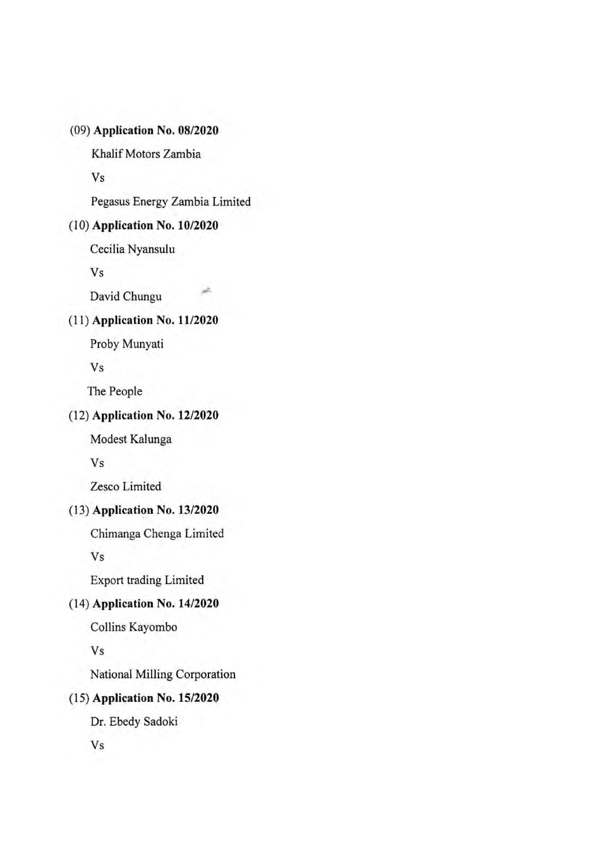### **(9) Application No. 08/2020**

Khalif Motors Zambia

Vs

Pegasus Energy Zambia Limited

jh.

#### **(10) Application No. 10/2020**

Cecilia Nyansulu

Vs

David Chungu

### (11) Application No. 11/2020

Proby Munyati

Vs

The People

# (12) Application No. 12/2020

Modest Kalunga

Vs

Zesco Limited

#### (13) Application No. 13/2020

Chimanga Chenga Limited

Vs

Export trading Limited

### (14) Application No. 14/2020

Collins Kayombo

#### Vs

National Milling Corporation

#### (15) Application No. 15/2020

Dr. Ebedy Sadoki

Vs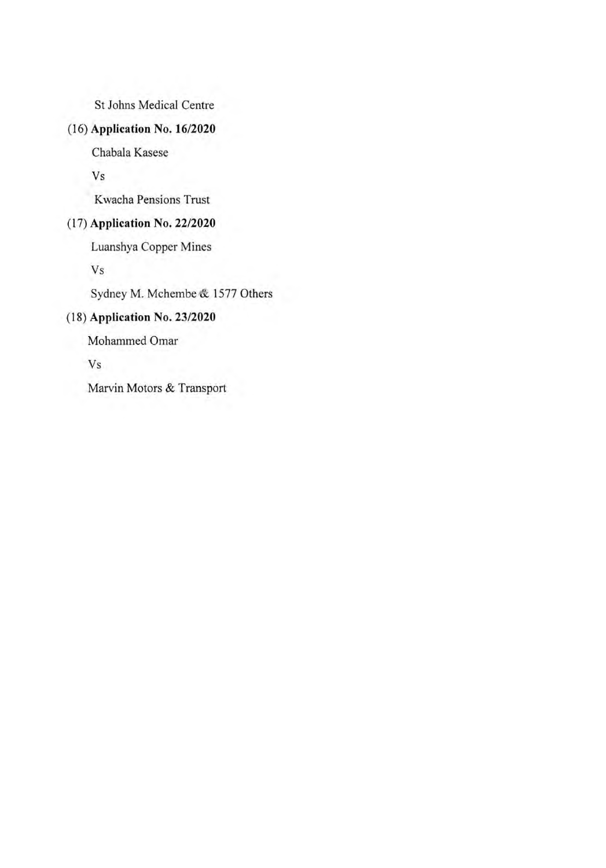St Johns Medical Centre

# (16) Application No. 16/2020

Chabala Kasese

Vs

Kwacha Pensions Trust

### (17) Application No. 22/2020

Luanshya Copper Mines

Vs

Sydney M. Mchembe & *1577* Others

## (18) Application No. 23/2020

Mohammed Omar

Vs

Marvin Motors & Transport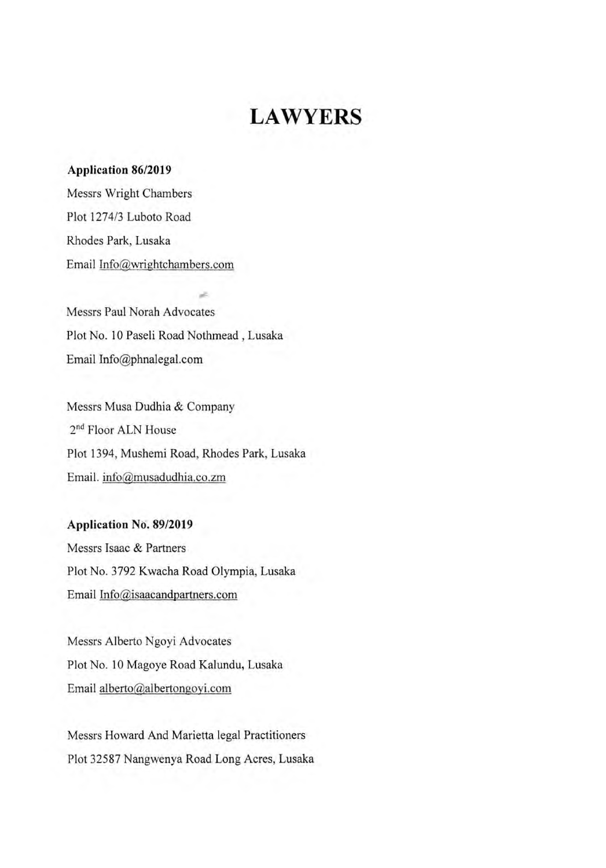# **LAWYERS**

#### **Application 86/2019**

Messrs Wright Chambers Plot 1274/3 Luboto Road Rhodes Park, Lusaka Email Info@wrightchambers.com

Messrs Paul Norah Advocates Plot No. 10 Paseli Road Nothmead, Lusaka Email Info@phnalegal.com

Messrs Musa Dudhia & Company 2<sup>nd</sup> Floor ALN House Plot 1394, Mushemi Road, Rhodes Park, Lusaka Email. info@musadudhia.co.zm

**Application No. 89/2019**  Messrs Isaac & Partners Plot No. 3792 Kwacha Road Olympia, Lusaka Email Info@isaacandpartners.com

Messrs Alberto Ngoyi Advocates Plot No. 10 Magoye Road Kalundu, Lusaka Email alberto@albertongoyi.com

Messrs Howard And Marietta legal Practitioners Plot 32587 Nangwenya Road Long Acres, Lusaka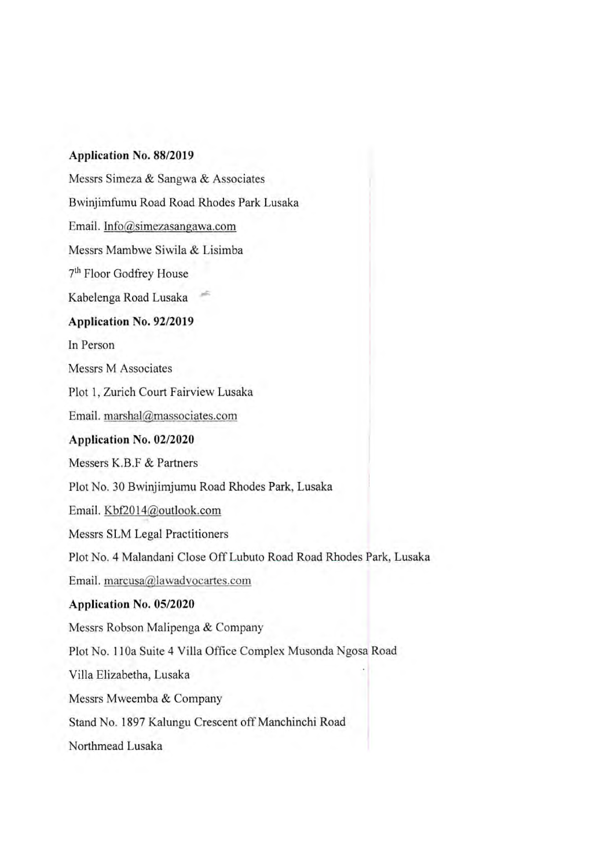#### **Application** No. 88/2019

Messrs Simeza & Sangwa & Associates Bwinjirnfumu Road Road Rhodes Park Lusaka Email. Info@simezasangawa.com Messrs Mambwe Siwila & Lisimba 7<sup>th</sup> Floor Godfrey House Kabelenga Road Lusaka **Application No. 92/2019**  In Person Messrs M Associates Plot I, Zurich Court Fairview Lusaka **Email. marshal@massociates.com Application** No. 02/2020 **Messers K.B.F & Partners**  Plot No. 30 Bwinjimjumu Road Rhodes Park, Lusaka Email. Kbf2014@outlook.com Messrs SLM Legal Practitioners Plot No. 4 Malandani Close *Off* Lubuto Road Road Rhodes Park, Lusaka Email. marcusa@lawadvocartes.com Application No. 05/2020 Messrs Robson Malipenga & Company Plot No. 11 0a Suite 4 Villa Office Complex Musonda Ngosa Road Villa Elizahetha, Lusaka Messrs Mweemba & Company Stand No. 1897 Kalungu Crescent *off* Manchinchi Road Northmead Lusaka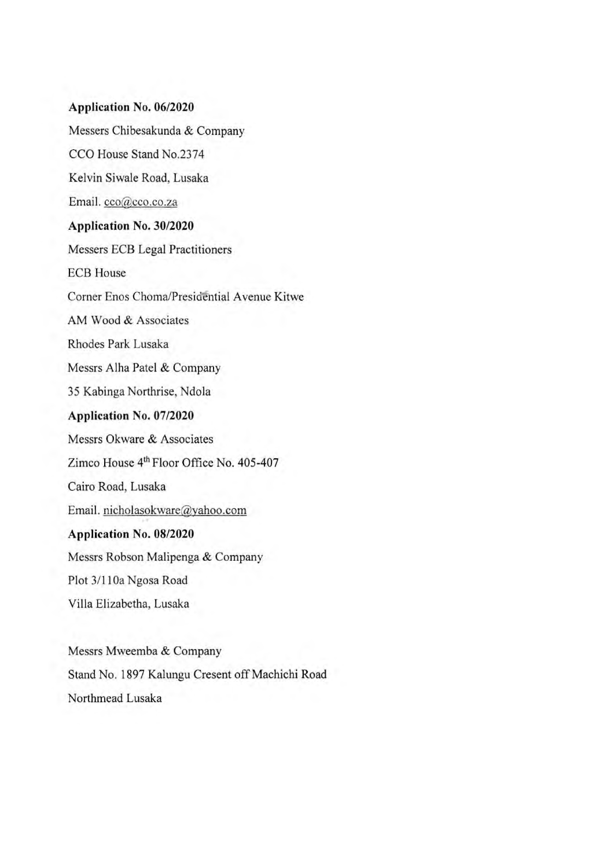# **Application No. 06/2020**  Messers Chibesakunda & Company

CCO House Stand No.2374

Kelvin Siwale Road, Lusaka

Email. cco@cco.co.za

#### Application No. 30/2020

Messers ECB Legal Practitioners ECB House Corner Enos ChomalPresidential Avenue Kitwe AM Wood & Associates Rhodes Park Lusaka Messrs Aiha Patel & Company 35 Kabinga Northrise, Ndola Application No. 07/2020 Messrs Okware & Associates Zimco House 4<sup>th</sup> Floor Office No. 405-407 Cairo Road, Lusaka Email. nicholasokware@yahoo.com Application No. 08/2020 Messrs Robson Malipenga & Company Plot 3/11 Oa Ngosa Road Villa Elizabetha, Lusaka

Messrs Mweemba & Company Stand No. 1897 Kalungu Cresent off Machichi Road Northmead Lusaka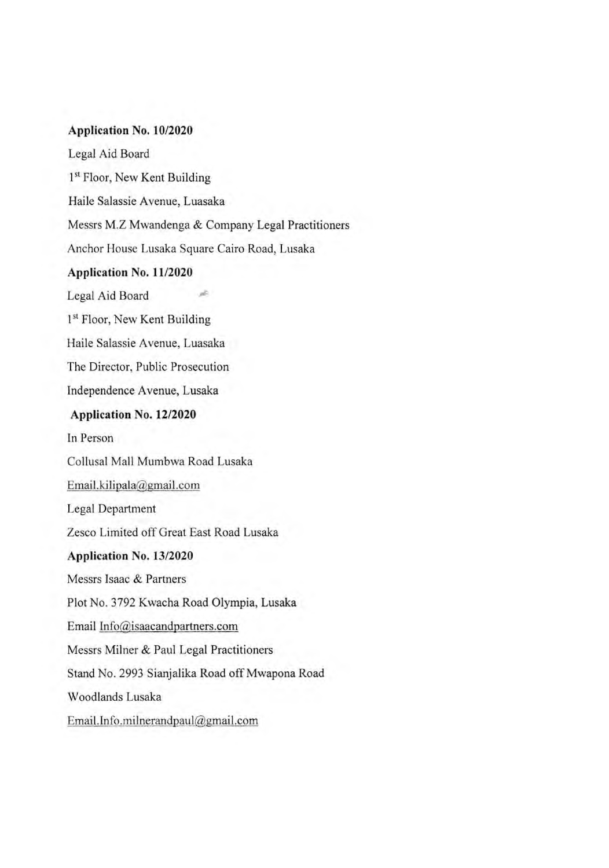#### **Application** No. 10/2020

Legal Aid Board 1<sup>st</sup> Floor, New Kent Building Haile Salassie Avenue, Luasaka Messrs M.Z Mwandenga & Company Legal Practitioners Anchor House Lusaka Square Cairo Road, Lusaka Application No. 11/2020 Legal Aid Board 1<sup>st</sup> Floor, New Kent Building Haile Salassie Avenue, Luasaka The Director, Public Prosecution Independence Avenue, Lusaka Application No. 12/2020 In Person Collusal Mall Murnbwa Road Lusaka Email.kilipa1agmail.com Legal Department Zesco Limited off Great East Road Lusaka Application No. 13/2020 Messrs Isaac & Partners Plot No. 3792 Kwacha Road Olympia, Lusaka Email Info@isaacandpartners.com Messrs Milner & Paul Legal Practitioners Stand No. 2993 Sianjalika Road off Mwapona Road Woodlands Lusaka Email.Info.milnerandpaul@gmail.com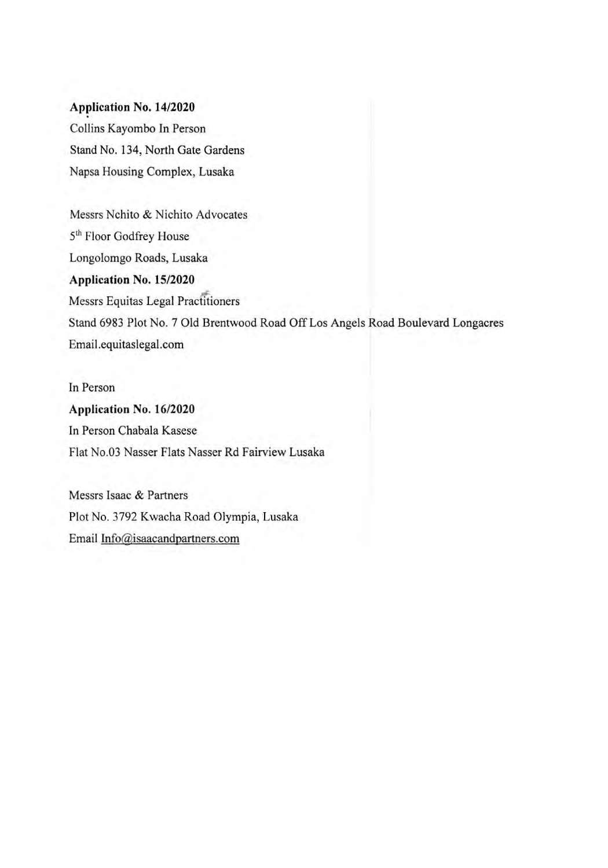#### **Application** No. 14/2020

Collins Kayombo In Person Stand No. 134, North Gate Gardens Napsa Housing Complex, Lusaka

Messrs Nchito & Nichito Advocates 5th Floor Godfrey House Longolomgo Roads, Lusaka Application No. 15/2020 Messrs Equitas Legal Practitioners Stand 6983 Plot No. 7 Old Brentwood Road Off Los Angels Road Boulevard Longacres Email.equitaslegal.com

In Person Application No. 16/2020 In Person Chabala Kasese Flat No.03 Nasser Flats Nasser Rd Fairview Lusaka

Messrs Isaac & Partners Plot No. 3792 Kwacha Road Olympia, Lusaka Email Info@isaacandpartners.com